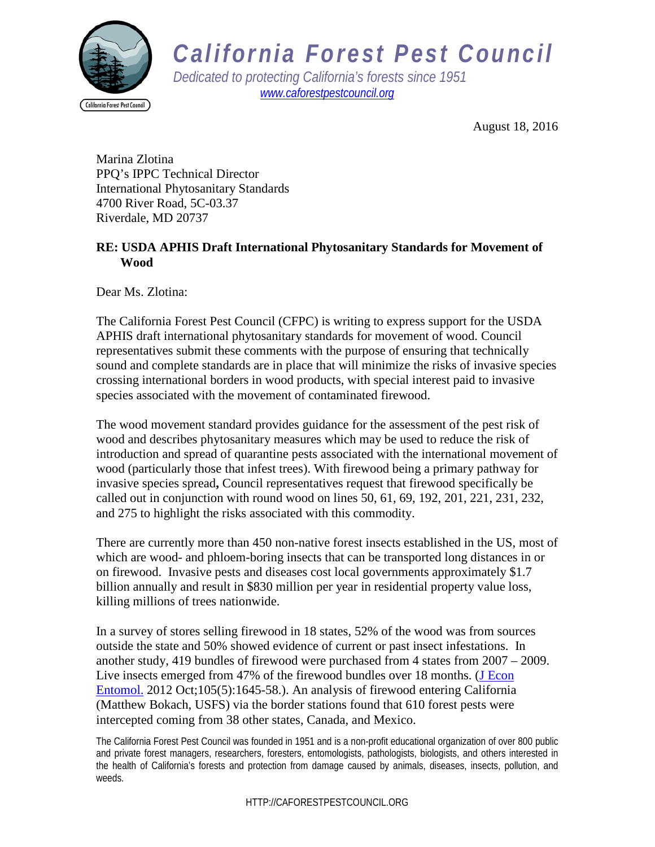

## *California Forest Pest Council*

*Dedicated to protecting California's forests since 1951 [www.caforestpestcouncil.org](http://www.caforestpestcouncil.org/)*

August 18, 2016

Marina Zlotina PPQ's IPPC Technical Director International Phytosanitary Standards 4700 River Road, 5C-03.37 Riverdale, MD 20737

## **RE: USDA APHIS Draft International Phytosanitary Standards for Movement of Wood**

Dear Ms. Zlotina:

The California Forest Pest Council (CFPC) is writing to express support for the USDA APHIS draft international phytosanitary standards for movement of wood. Council representatives submit these comments with the purpose of ensuring that technically sound and complete standards are in place that will minimize the risks of invasive species crossing international borders in wood products, with special interest paid to invasive species associated with the movement of contaminated firewood.

The wood movement standard provides guidance for the assessment of the pest risk of wood and describes phytosanitary measures which may be used to reduce the risk of introduction and spread of quarantine pests associated with the international movement of wood (particularly those that infest trees). With firewood being a primary pathway for invasive species spread**,** Council representatives request that firewood specifically be called out in conjunction with round wood on lines 50, 61, 69, 192, 201, 221, 231, 232, and 275 to highlight the risks associated with this commodity.

There are currently more than 450 non-native forest insects established in the US, most of which are wood- and phloem-boring insects that can be transported long distances in or on firewood. Invasive pests and diseases cost local governments approximately \$1.7 billion annually and result in \$830 million per year in residential property value loss, killing millions of trees nationwide.

In a survey of stores selling firewood in 18 states, 52% of the wood was from sources outside the state and 50% showed evidence of current or past insect infestations. In another study, 419 bundles of firewood were purchased from 4 states from 2007 – 2009. Live insects emerged from 47% of the firewood bundles over 18 months. [\(J Econ](http://www.ncbi.nlm.nih.gov/pubmed/23156161)  [Entomol.](http://www.ncbi.nlm.nih.gov/pubmed/23156161) 2012 Oct;105(5):1645-58.). An analysis of firewood entering California (Matthew Bokach, USFS) via the border stations found that 610 forest pests were intercepted coming from 38 other states, Canada, and Mexico.

The California Forest Pest Council was founded in 1951 and is a non-profit educational organization of over 800 public and private forest managers, researchers, foresters, entomologists, pathologists, biologists, and others interested in the health of California's forests and protection from damage caused by animals, diseases, insects, pollution, and weeds.

HTTP://CAFORESTPESTCOUNCIL.ORG